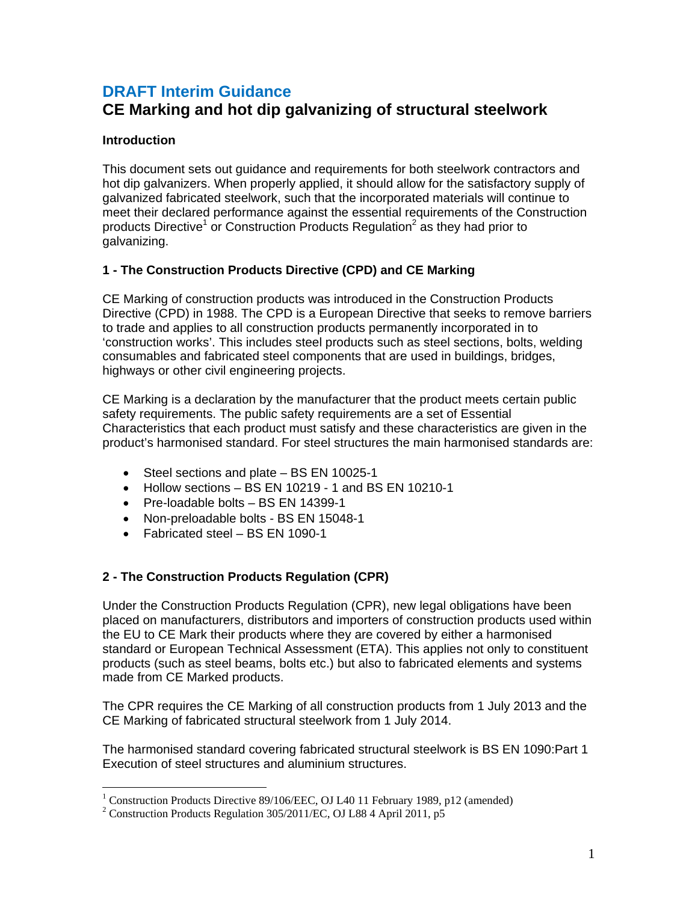## **DRAFT Interim Guidance CE Marking and hot dip galvanizing of structural steelwork**

### **Introduction**

This document sets out guidance and requirements for both steelwork contractors and hot dip galvanizers. When properly applied, it should allow for the satisfactory supply of galvanized fabricated steelwork, such that the incorporated materials will continue to meet their declared performance against the essential requirements of the Construction products Directive<sup>1</sup> or Construction Products Regulation<sup>2</sup> as they had prior to galvanizing.

## **1 - The Construction Products Directive (CPD) and CE Marking**

CE Marking of construction products was introduced in the Construction Products Directive (CPD) in 1988. The CPD is a European Directive that seeks to remove barriers to trade and applies to all construction products permanently incorporated in to 'construction works'. This includes steel products such as steel sections, bolts, welding consumables and fabricated steel components that are used in buildings, bridges, highways or other civil engineering projects.

CE Marking is a declaration by the manufacturer that the product meets certain public safety requirements. The public safety requirements are a set of Essential Characteristics that each product must satisfy and these characteristics are given in the product's harmonised standard. For steel structures the main harmonised standards are:

- Steel sections and plate BS EN 10025-1
- Hollow sections BS EN 10219 1 and BS EN 10210-1
- Pre-loadable bolts BS EN 14399-1
- Non-preloadable bolts BS EN 15048-1
- Fabricated steel BS EN 1090-1

## **2 - The Construction Products Regulation (CPR)**

Under the Construction Products Regulation (CPR), new legal obligations have been placed on manufacturers, distributors and importers of construction products used within the EU to CE Mark their products where they are covered by either a harmonised standard or European Technical Assessment (ETA). This applies not only to constituent products (such as steel beams, bolts etc.) but also to fabricated elements and systems made from CE Marked products.

The CPR requires the CE Marking of all construction products from 1 July 2013 and the CE Marking of fabricated structural steelwork from 1 July 2014.

The harmonised standard covering fabricated structural steelwork is BS EN 1090:Part 1 Execution of steel structures and aluminium structures.

 1 Construction Products Directive 89/106/EEC, OJ L40 11 February 1989, p12 (amended)

<sup>&</sup>lt;sup>2</sup> Construction Products Regulation 305/2011/EC, OJ L88 4 April 2011, p5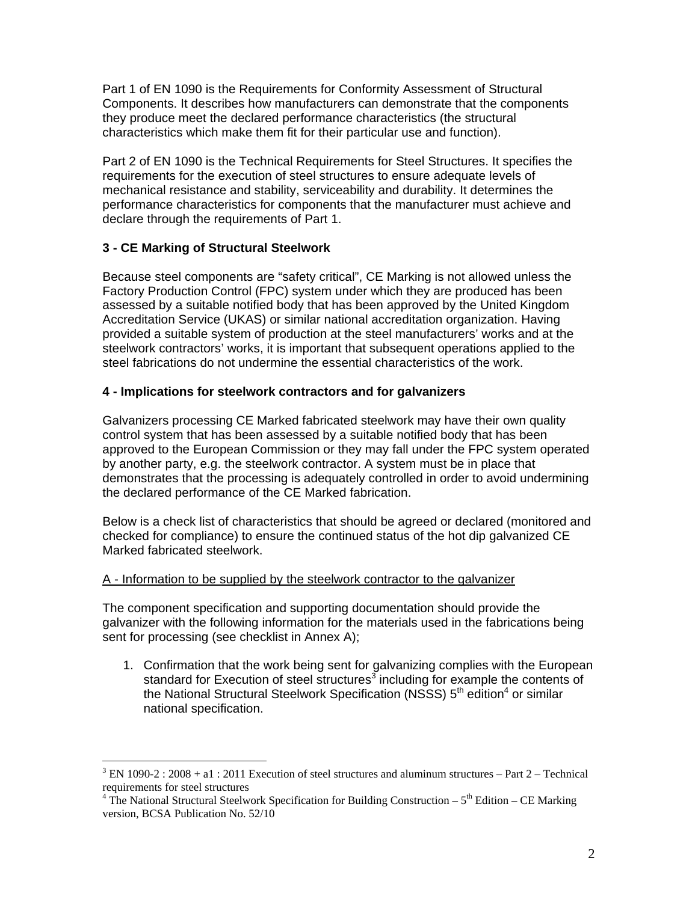Part 1 of EN 1090 is the Requirements for Conformity Assessment of Structural Components. It describes how manufacturers can demonstrate that the components they produce meet the declared performance characteristics (the structural characteristics which make them fit for their particular use and function).

Part 2 of EN 1090 is the Technical Requirements for Steel Structures. It specifies the requirements for the execution of steel structures to ensure adequate levels of mechanical resistance and stability, serviceability and durability. It determines the performance characteristics for components that the manufacturer must achieve and declare through the requirements of Part 1.

#### **3 - CE Marking of Structural Steelwork**

 $\overline{a}$ 

Because steel components are "safety critical", CE Marking is not allowed unless the Factory Production Control (FPC) system under which they are produced has been assessed by a suitable notified body that has been approved by the United Kingdom Accreditation Service (UKAS) or similar national accreditation organization. Having provided a suitable system of production at the steel manufacturers' works and at the steelwork contractors' works, it is important that subsequent operations applied to the steel fabrications do not undermine the essential characteristics of the work.

#### **4 - Implications for steelwork contractors and for galvanizers**

Galvanizers processing CE Marked fabricated steelwork may have their own quality control system that has been assessed by a suitable notified body that has been approved to the European Commission or they may fall under the FPC system operated by another party, e.g. the steelwork contractor. A system must be in place that demonstrates that the processing is adequately controlled in order to avoid undermining the declared performance of the CE Marked fabrication.

Below is a check list of characteristics that should be agreed or declared (monitored and checked for compliance) to ensure the continued status of the hot dip galvanized CE Marked fabricated steelwork.

#### A - Information to be supplied by the steelwork contractor to the galvanizer

The component specification and supporting documentation should provide the galvanizer with the following information for the materials used in the fabrications being sent for processing (see checklist in Annex A);

1. Confirmation that the work being sent for galvanizing complies with the European standard for Execution of steel structures<sup>3</sup> including for example the contents of the National Structural Steelwork Specification (NSSS)  $5<sup>th</sup>$  edition<sup>4</sup> or similar national specification.

 $3$  EN 1090-2 : 2008 + a1 : 2011 Execution of steel structures and aluminum structures – Part 2 – Technical requirements for steel structures

<sup>&</sup>lt;sup>4</sup> The National Structural Steelwork Specification for Building Construction –  $5<sup>th</sup>$  Edition – CE Marking version, BCSA Publication No. 52/10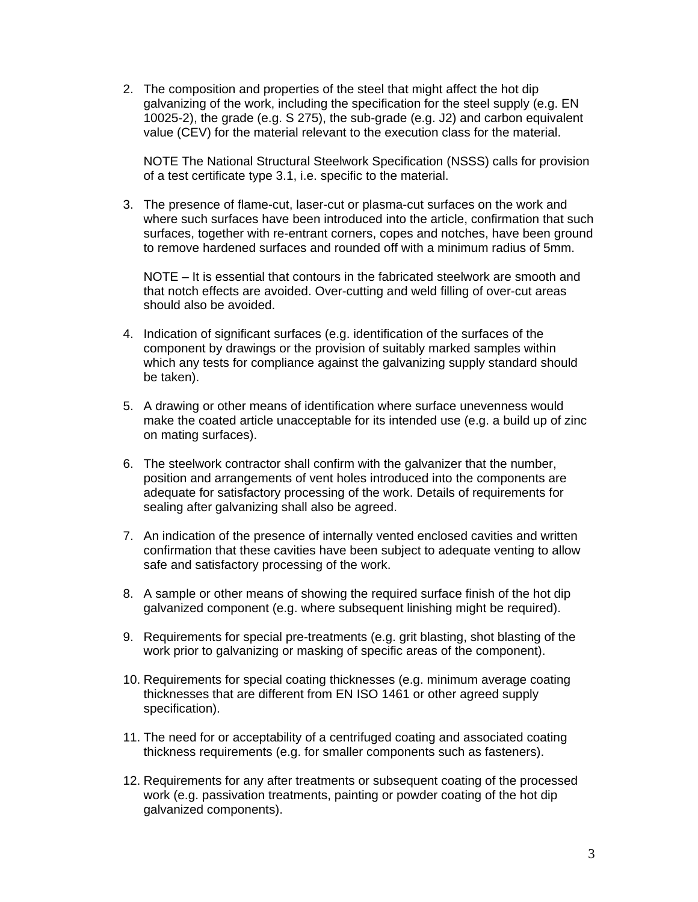2. The composition and properties of the steel that might affect the hot dip galvanizing of the work, including the specification for the steel supply (e.g. EN 10025-2), the grade (e.g. S 275), the sub-grade (e.g. J2) and carbon equivalent value (CEV) for the material relevant to the execution class for the material.

NOTE The National Structural Steelwork Specification (NSSS) calls for provision of a test certificate type 3.1, i.e. specific to the material.

3. The presence of flame-cut, laser-cut or plasma-cut surfaces on the work and where such surfaces have been introduced into the article, confirmation that such surfaces, together with re-entrant corners, copes and notches, have been ground to remove hardened surfaces and rounded off with a minimum radius of 5mm.

NOTE – It is essential that contours in the fabricated steelwork are smooth and that notch effects are avoided. Over-cutting and weld filling of over-cut areas should also be avoided.

- 4. Indication of significant surfaces (e.g. identification of the surfaces of the component by drawings or the provision of suitably marked samples within which any tests for compliance against the galvanizing supply standard should be taken).
- 5. A drawing or other means of identification where surface unevenness would make the coated article unacceptable for its intended use (e.g. a build up of zinc on mating surfaces).
- 6. The steelwork contractor shall confirm with the galvanizer that the number, position and arrangements of vent holes introduced into the components are adequate for satisfactory processing of the work. Details of requirements for sealing after galvanizing shall also be agreed.
- 7. An indication of the presence of internally vented enclosed cavities and written confirmation that these cavities have been subject to adequate venting to allow safe and satisfactory processing of the work.
- 8. A sample or other means of showing the required surface finish of the hot dip galvanized component (e.g. where subsequent linishing might be required).
- 9. Requirements for special pre-treatments (e.g. grit blasting, shot blasting of the work prior to galvanizing or masking of specific areas of the component).
- 10. Requirements for special coating thicknesses (e.g. minimum average coating thicknesses that are different from EN ISO 1461 or other agreed supply specification).
- 11. The need for or acceptability of a centrifuged coating and associated coating thickness requirements (e.g. for smaller components such as fasteners).
- 12. Requirements for any after treatments or subsequent coating of the processed work (e.g. passivation treatments, painting or powder coating of the hot dip galvanized components).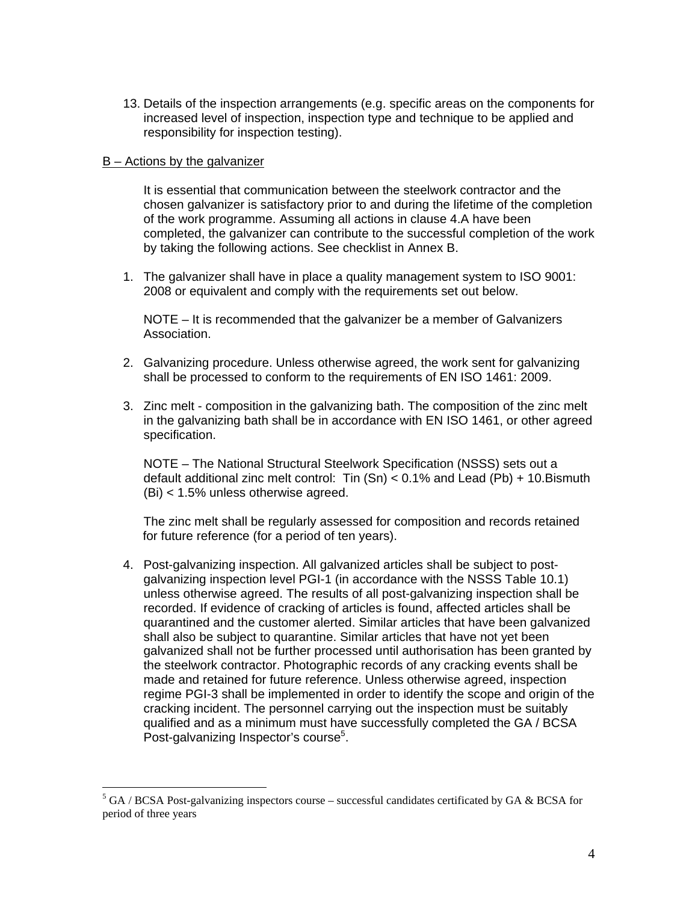13. Details of the inspection arrangements (e.g. specific areas on the components for increased level of inspection, inspection type and technique to be applied and responsibility for inspection testing).

#### B – Actions by the galvanizer

 $\overline{a}$ 

 It is essential that communication between the steelwork contractor and the chosen galvanizer is satisfactory prior to and during the lifetime of the completion of the work programme. Assuming all actions in clause 4.A have been completed, the galvanizer can contribute to the successful completion of the work by taking the following actions. See checklist in Annex B.

1. The galvanizer shall have in place a quality management system to ISO 9001: 2008 or equivalent and comply with the requirements set out below.

NOTE – It is recommended that the galvanizer be a member of Galvanizers Association.

- 2. Galvanizing procedure. Unless otherwise agreed, the work sent for galvanizing shall be processed to conform to the requirements of EN ISO 1461: 2009.
- 3. Zinc melt composition in the galvanizing bath. The composition of the zinc melt in the galvanizing bath shall be in accordance with EN ISO 1461, or other agreed specification.

NOTE – The National Structural Steelwork Specification (NSSS) sets out a default additional zinc melt control: Tin  $(Sn) < 0.1\%$  and Lead (Pb) + 10. Bismuth (Bi) < 1.5% unless otherwise agreed.

 The zinc melt shall be regularly assessed for composition and records retained for future reference (for a period of ten years).

4. Post-galvanizing inspection. All galvanized articles shall be subject to postgalvanizing inspection level PGI-1 (in accordance with the NSSS Table 10.1) unless otherwise agreed. The results of all post-galvanizing inspection shall be recorded. If evidence of cracking of articles is found, affected articles shall be quarantined and the customer alerted. Similar articles that have been galvanized shall also be subject to quarantine. Similar articles that have not yet been galvanized shall not be further processed until authorisation has been granted by the steelwork contractor. Photographic records of any cracking events shall be made and retained for future reference. Unless otherwise agreed, inspection regime PGI-3 shall be implemented in order to identify the scope and origin of the cracking incident. The personnel carrying out the inspection must be suitably qualified and as a minimum must have successfully completed the GA / BCSA Post-galvanizing Inspector's course<sup>5</sup>.

 $5$  GA / BCSA Post-galvanizing inspectors course – successful candidates certificated by GA & BCSA for period of three years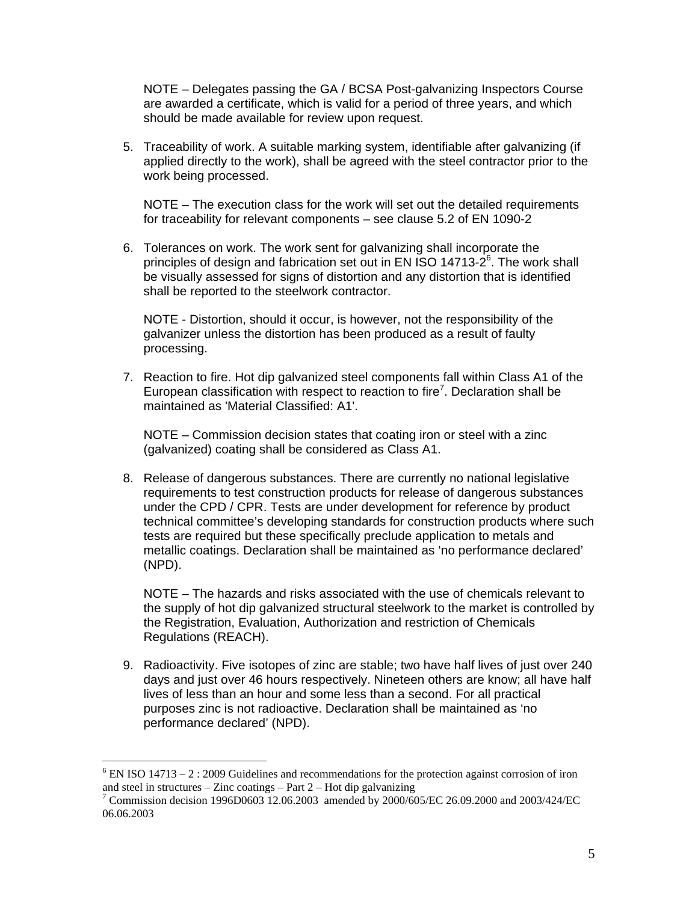NOTE – Delegates passing the GA / BCSA Post-galvanizing Inspectors Course are awarded a certificate, which is valid for a period of three years, and which should be made available for review upon request.

5. Traceability of work. A suitable marking system, identifiable after galvanizing (if applied directly to the work), shall be agreed with the steel contractor prior to the work being processed.

NOTE – The execution class for the work will set out the detailed requirements for traceability for relevant components – see clause 5.2 of EN 1090-2

6. Tolerances on work. The work sent for galvanizing shall incorporate the principles of design and fabrication set out in EN ISO 14713-2 $<sup>6</sup>$ . The work shall</sup> be visually assessed for signs of distortion and any distortion that is identified shall be reported to the steelwork contractor.

NOTE - Distortion, should it occur, is however, not the responsibility of the galvanizer unless the distortion has been produced as a result of faulty processing.

7. Reaction to fire. Hot dip galvanized steel components fall within Class A1 of the European classification with respect to reaction to fire<sup>7</sup>. Declaration shall be maintained as 'Material Classified: A1'.

NOTE – Commission decision states that coating iron or steel with a zinc (galvanized) coating shall be considered as Class A1.

8. Release of dangerous substances. There are currently no national legislative requirements to test construction products for release of dangerous substances under the CPD / CPR. Tests are under development for reference by product technical committee's developing standards for construction products where such tests are required but these specifically preclude application to metals and metallic coatings. Declaration shall be maintained as 'no performance declared' (NPD).

NOTE – The hazards and risks associated with the use of chemicals relevant to the supply of hot dip galvanized structural steelwork to the market is controlled by the Registration, Evaluation, Authorization and restriction of Chemicals Regulations (REACH).

9. Radioactivity. Five isotopes of zinc are stable; two have half lives of just over 240 days and just over 46 hours respectively. Nineteen others are know; all have half lives of less than an hour and some less than a second. For all practical purposes zinc is not radioactive. Declaration shall be maintained as 'no performance declared' (NPD).

 $\overline{a}$ 

 $6$  EN ISO 14713 – 2 : 2009 Guidelines and recommendations for the protection against corrosion of iron and steel in structures – Zinc coatings – Part  $2$  – Hot dip galvanizing

<sup>7</sup> Commission decision 1996D0603 12.06.2003 amended by 2000/605/EC 26.09.2000 and 2003/424/EC 06.06.2003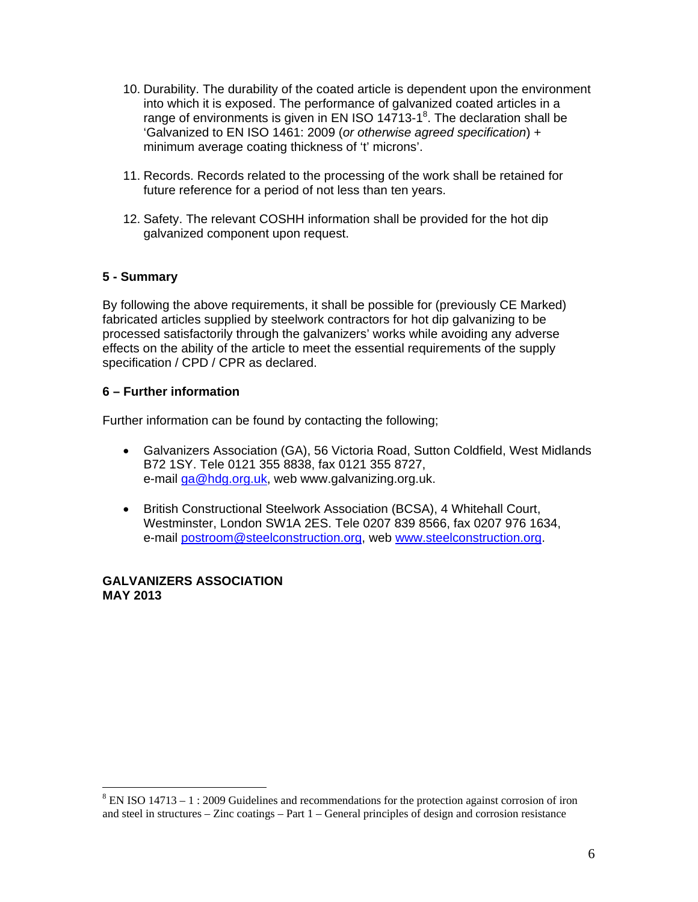- 10. Durability. The durability of the coated article is dependent upon the environment into which it is exposed. The performance of galvanized coated articles in a range of environments is given in EN ISO 14713-1 $^8$ . The declaration shall be 'Galvanized to EN ISO 1461: 2009 (*or otherwise agreed specification*) + minimum average coating thickness of 't' microns'.
- 11. Records. Records related to the processing of the work shall be retained for future reference for a period of not less than ten years.
- 12. Safety. The relevant COSHH information shall be provided for the hot dip galvanized component upon request.

#### **5 - Summary**

By following the above requirements, it shall be possible for (previously CE Marked) fabricated articles supplied by steelwork contractors for hot dip galvanizing to be processed satisfactorily through the galvanizers' works while avoiding any adverse effects on the ability of the article to meet the essential requirements of the supply specification / CPD / CPR as declared.

#### **6 – Further information**

Further information can be found by contacting the following;

- Galvanizers Association (GA), 56 Victoria Road, Sutton Coldfield, West Midlands B72 1SY. Tele 0121 355 8838, fax 0121 355 8727, e-mail ga@hdg.org.uk, web www.galvanizing.org.uk.
- British Constructional Steelwork Association (BCSA), 4 Whitehall Court, Westminster, London SW1A 2ES. Tele 0207 839 8566, fax 0207 976 1634, e-mail postroom@steelconstruction.org, web www.steelconstruction.org.

#### **GALVANIZERS ASSOCIATION MAY 2013**

 $\overline{a}$ 

 $8$  EN ISO 14713 – 1 : 2009 Guidelines and recommendations for the protection against corrosion of iron and steel in structures – Zinc coatings – Part 1 – General principles of design and corrosion resistance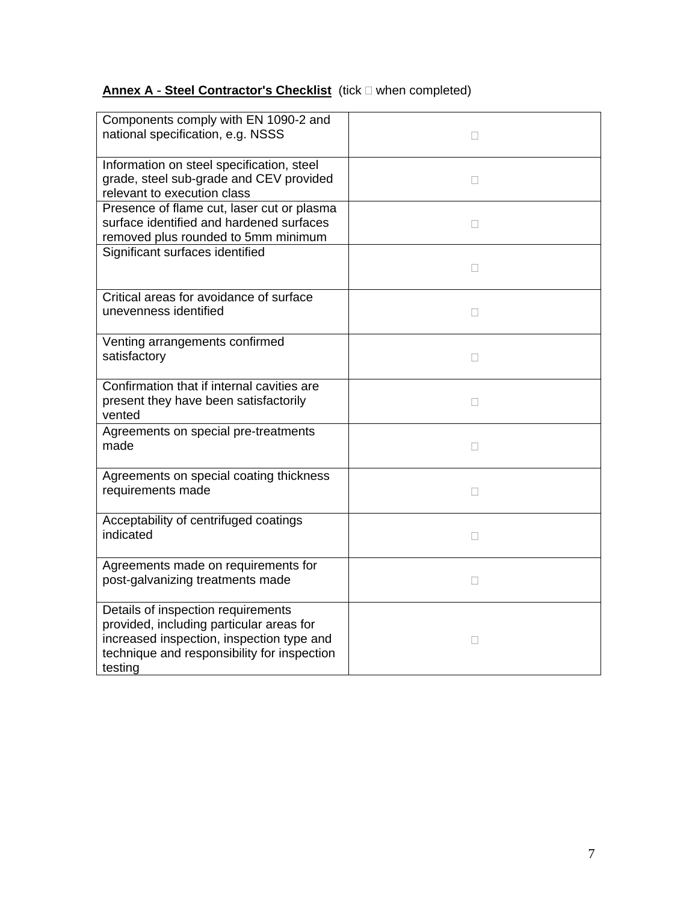# **Annex A ⋅ Steel Contractor's Checklist** (tick □ when completed)

| Components comply with EN 1090-2 and<br>national specification, e.g. NSSS                                                                                                             |              |
|---------------------------------------------------------------------------------------------------------------------------------------------------------------------------------------|--------------|
| Information on steel specification, steel<br>grade, steel sub-grade and CEV provided<br>relevant to execution class                                                                   | П            |
| Presence of flame cut, laser cut or plasma<br>surface identified and hardened surfaces<br>removed plus rounded to 5mm minimum                                                         | П            |
| Significant surfaces identified                                                                                                                                                       | П            |
| Critical areas for avoidance of surface<br>unevenness identified                                                                                                                      | П            |
| Venting arrangements confirmed<br>satisfactory                                                                                                                                        | П            |
| Confirmation that if internal cavities are<br>present they have been satisfactorily<br>vented                                                                                         | П            |
| Agreements on special pre-treatments<br>made                                                                                                                                          | П            |
| Agreements on special coating thickness<br>requirements made                                                                                                                          | П            |
| Acceptability of centrifuged coatings<br>indicated                                                                                                                                    | $\mathbf{L}$ |
| Agreements made on requirements for<br>post-galvanizing treatments made                                                                                                               | П            |
| Details of inspection requirements<br>provided, including particular areas for<br>increased inspection, inspection type and<br>technique and responsibility for inspection<br>testing | П            |